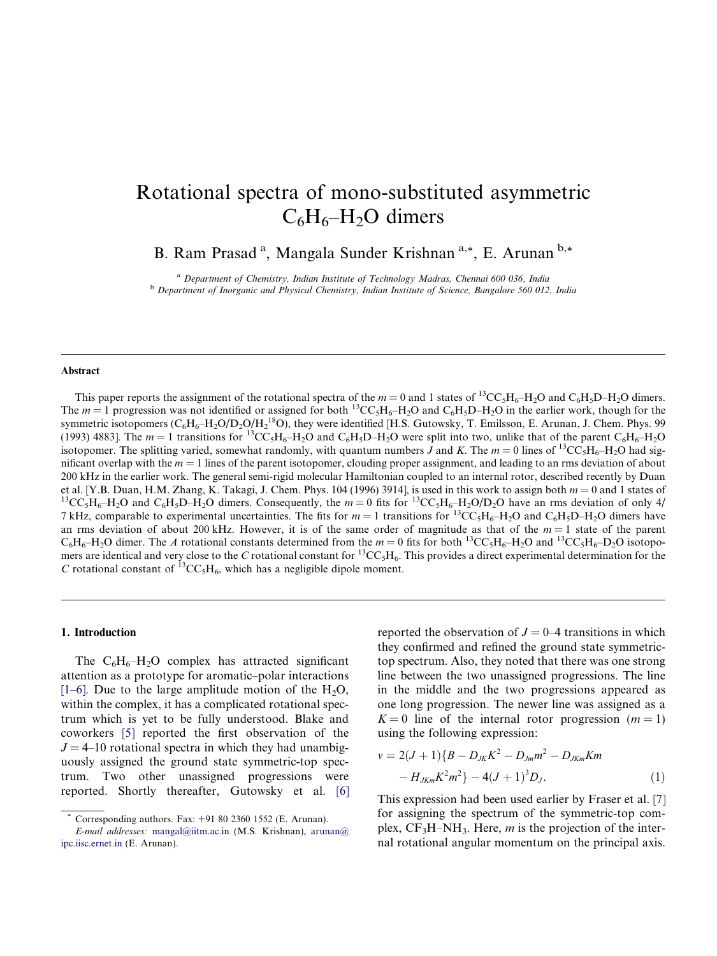# <span id="page-0-0"></span>Rotational spectra of mono-substituted asymmetric  $C_6H_6-H_2O$  dimers

B. Ram Prasad<sup>a</sup>, Mangala Sunder Krishnan<sup>a,\*</sup>, E. Arunan<sup>b,\*</sup>

<sup>a</sup> Department of Chemistry, Indian Institute of Technology Madras, Chennai 600 036, India <sup>b</sup> Department of Inorganic and Physical Chemistry, Indian Institute of Science, Bangalore 560 012, India

#### Abstract

This paper reports the assignment of the rotational spectra of the  $m = 0$  and 1 states of <sup>13</sup>CC<sub>5</sub>H<sub>6</sub>–H<sub>2</sub>O and C<sub>6</sub>H<sub>5</sub>D–H<sub>2</sub>O dimers. The  $m = 1$  progression was not identified or assigned for both <sup>13</sup>CC<sub>5</sub>H<sub>6</sub>–H<sub>2</sub>O and C<sub>6</sub>H<sub>5</sub>D–H<sub>2</sub>O in the earlier work, though for the symmetric isotopomers  $(C_6H_6-H_2O/D_2O/H_2^{18}O)$ , they were identified [H.S. Gutowsky, T. Emilsson, E. Arunan, J. Chem. Phys. 99 (1993) 4883]. The  $m = 1$  transitions for <sup>13</sup>CC<sub>5</sub>H<sub>6</sub>–H<sub>2</sub>O and C<sub>6</sub>H<sub>5</sub>D–H<sub>2</sub>O were split into two, unlike that of the parent C<sub>6</sub>H<sub>6</sub>–H<sub>2</sub>O isotopomer. The splitting varied, somewhat randomly, with quantum numbers J and K. The  $m = 0$  lines of <sup>13</sup>CC<sub>5</sub>H<sub>6</sub>–H<sub>2</sub>O had significant overlap with the  $m = 1$  lines of the parent isotopomer, clouding proper assignment, and leading to an rms deviation of about 200 kHz in the earlier work. The general semi-rigid molecular Hamiltonian coupled to an internal rotor, described recently by Duan et al. [Y.B. Duan, H.M. Zhang, K. Takagi, J. Chem. Phys. 104 (1996) 3914], is used in this work to assign both  $m = 0$  and 1 states of <sup>13</sup>CC<sub>5</sub>H<sub>6</sub>-H<sub>2</sub>O and C<sub>6</sub>H<sub>5</sub>D-H<sub>2</sub>O dimers. Consequently, the  $m = 0$  fits for <sup>13</sup>C 7 kHz, comparable to experimental uncertainties. The fits for  $m = 1$  transitions for  ${}^{13}CC_5H_6-H_2O$  and  $C_6H_5D-H_2O$  dimers have an rms deviation of about 200 kHz. However, it is of the same order of magnitude as that of the  $m = 1$  state of the parent  $C_6H_6-H_2O$  dimer. The A rotational constants determined from the  $m = 0$  fits for both  $^{13}CC_5H_6-H_2O$  and  $^{13}CC_5H_6-D_2O$  isotopomers are identical and very close to the C rotational constant for <sup>13</sup>CC<sub>5</sub>H<sub>6</sub>. This provides a direct experimental determination for the C rotational constant of  ${}^{13}CC_5H_6$ , which has a negligible dipole moment.

## 1. Introduction

The  $C_6H_6-H_2O$  complex has attracted significant attention as a prototype for aromatic–polar interactions [\[1–6\]](#page-6-0). Due to the large amplitude motion of the  $H_2O$ , within the complex, it has a complicated rotational spectrum which is yet to be fully understood. Blake and coworkers [\[5\]](#page-6-0) reported the first observation of the  $J = 4$ –10 rotational spectra in which they had unambiguously assigned the ground state symmetric-top spectrum. Two other unassigned progressions were reported. Shortly thereafter, Gutowsky et al. [\[6\]](#page-6-0) reported the observation of  $J = 0-4$  transitions in which they confirmed and refined the ground state symmetrictop spectrum. Also, they noted that there was one strong line between the two unassigned progressions. The line in the middle and the two progressions appeared as one long progression. The newer line was assigned as a  $K = 0$  line of the internal rotor progression  $(m = 1)$ using the following expression:

$$
v = 2(J+1)\{B - D_{JK}K^2 - D_{Jm}m^2 - D_{JKm}Km - H_{JKm}K^2m^2\} - 4(J+1)^3D_J.
$$
\n(1)

This expression had been used earlier by Fraser et al. [\[7\]](#page-6-0) for assigning the spectrum of the symmetric-top complex,  $CF_3H-NH_3$ . Here, *m* is the projection of the internal rotational angular momentum on the principal axis.

Corresponding authors. Fax:  $+91$  80 2360 1552 (E. Arunan).

E-mail addresses: [mangal@iitm.ac.in](mailto:mangal@iitm.ac.in) (M.S. Krishnan), [arunan@](mailto:arunan@ ipc.iisc.ernet.in) [ipc.iisc.ernet.in](mailto:arunan@ ipc.iisc.ernet.in) (E. Arunan).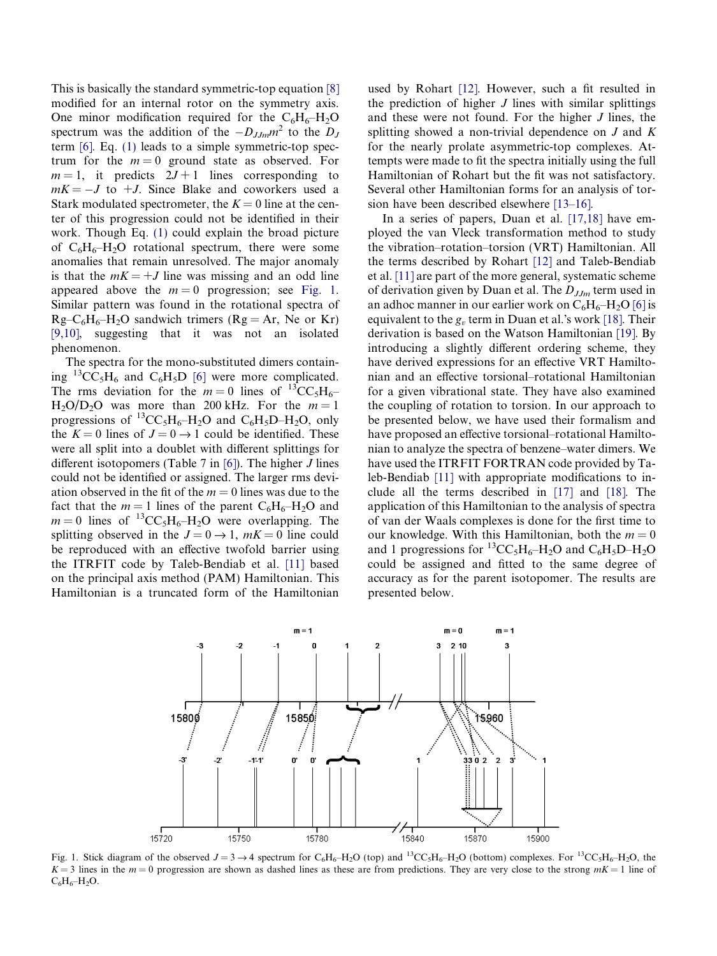<span id="page-1-0"></span>This is basically the standard symmetric-top equation [\[8\]](#page-6-0) modified for an internal rotor on the symmetry axis. One minor modification required for the  $C_6H_6-H_2O$ spectrum was the addition of the  $-D_{JJm}m^2$  to the  $D_J$ term [\[6\]](#page-6-0). Eq. [\(1\)](#page-0-0) leads to a simple symmetric-top spectrum for the  $m = 0$  ground state as observed. For  $m = 1$ , it predicts  $2J + 1$  lines corresponding to  $mK = -J$  to  $+J$ . Since Blake and coworkers used a Stark modulated spectrometer, the  $K = 0$  line at the center of this progression could not be identified in their work. Though Eq. [\(1\)](#page-0-0) could explain the broad picture of  $C_6H_6-H_2O$  rotational spectrum, there were some anomalies that remain unresolved. The major anomaly is that the  $mK = +J$  line was missing and an odd line appeared above the  $m = 0$  progression; see Fig. 1. Similar pattern was found in the rotational spectra of  $Rg-C_6H_6-H_2O$  sandwich trimers ( $Rg = Ar$ , Ne or Kr) [\[9,10\],](#page-6-0) suggesting that it was not an isolated phenomenon.

The spectra for the mono-substituted dimers contain-ing <sup>13</sup>CC<sub>5</sub>H<sub>6</sub> and C<sub>6</sub>H<sub>5</sub>D [\[6\]](#page-6-0) were more complicated. The rms deviation for the  $m = 0$  lines of  ${}^{13}CC_5H_6$  $H_2O/D_2O$  was more than 200 kHz. For the  $m=1$ progressions of  ${}^{13}CC_5H_6-H_2O$  and  $C_6H_5D-H_2O$ , only the  $K = 0$  lines of  $J = 0 \rightarrow 1$  could be identified. These were all split into a doublet with different splittings for different isotopomers (Table 7 in  $[6]$ ). The higher *J* lines could not be identified or assigned. The larger rms deviation observed in the fit of the  $m = 0$  lines was due to the fact that the  $m = 1$  lines of the parent  $C_6H_6-H_2O$  and  $m = 0$  lines of <sup>13</sup>CC<sub>5</sub>H<sub>6</sub>–H<sub>2</sub>O were overlapping. The splitting observed in the  $J = 0 \rightarrow 1$ ,  $mK = 0$  line could be reproduced with an effective twofold barrier using the ITRFIT code by Taleb-Bendiab et al. [\[11\]](#page-6-0) based on the principal axis method (PAM) Hamiltonian. This Hamiltonian is a truncated form of the Hamiltonian

used by Rohart [\[12\]](#page-6-0). However, such a fit resulted in the prediction of higher  $J$  lines with similar splittings and these were not found. For the higher J lines, the splitting showed a non-trivial dependence on J and K for the nearly prolate asymmetric-top complexes. Attempts were made to fit the spectra initially using the full Hamiltonian of Rohart but the fit was not satisfactory. Several other Hamiltonian forms for an analysis of torsion have been described elsewhere [\[13–16\]](#page-6-0).

In a series of papers, Duan et al. [\[17,18\]](#page-6-0) have employed the van Vleck transformation method to study the vibration–rotation–torsion (VRT) Hamiltonian. All the terms described by Rohart [\[12\]](#page-6-0) and Taleb-Bendiab et al. [\[11\]](#page-6-0) are part of the more general, systematic scheme of derivation given by Duan et al. The  $D_{JJm}$  term used in an adhoc manner in our earlier work on  $C_6H_6-H_2O$  [\[6\]](#page-6-0) is equivalent to the  $g<sub>v</sub>$  term in Duan et al.'s work [\[18\].](#page-6-0) Their derivation is based on the Watson Hamiltonian [\[19\]](#page-6-0). By introducing a slightly different ordering scheme, they have derived expressions for an effective VRT Hamiltonian and an effective torsional–rotational Hamiltonian for a given vibrational state. They have also examined the coupling of rotation to torsion. In our approach to be presented below, we have used their formalism and have proposed an effective torsional–rotational Hamiltonian to analyze the spectra of benzene–water dimers. We have used the ITRFIT FORTRAN code provided by Taleb-Bendiab [\[11\]](#page-6-0) with appropriate modifications to include all the terms described in [\[17\]](#page-6-0) and [\[18\]](#page-6-0). The application of this Hamiltonian to the analysis of spectra of van der Waals complexes is done for the first time to our knowledge. With this Hamiltonian, both the  $m = 0$ and 1 progressions for <sup>13</sup>CC<sub>5</sub>H<sub>6</sub>–H<sub>2</sub>O and C<sub>6</sub>H<sub>5</sub>D–H<sub>2</sub>O could be assigned and fitted to the same degree of accuracy as for the parent isotopomer. The results are presented below.



Fig. 1. Stick diagram of the observed  $J = 3 \rightarrow 4$  spectrum for C<sub>6</sub>H<sub>6</sub>–H<sub>2</sub>O (top) and <sup>13</sup>CC<sub>5</sub>H<sub>6</sub>–H<sub>2</sub>O (bottom) complexes. For <sup>13</sup>CC<sub>5</sub>H<sub>6</sub>–H<sub>2</sub>O, the  $K = 3$  lines in the  $m = 0$  progression are shown as dashed lines as these are from predictions. They are very close to the strong  $mK = 1$  line of  $C_6H_6-H_2O.$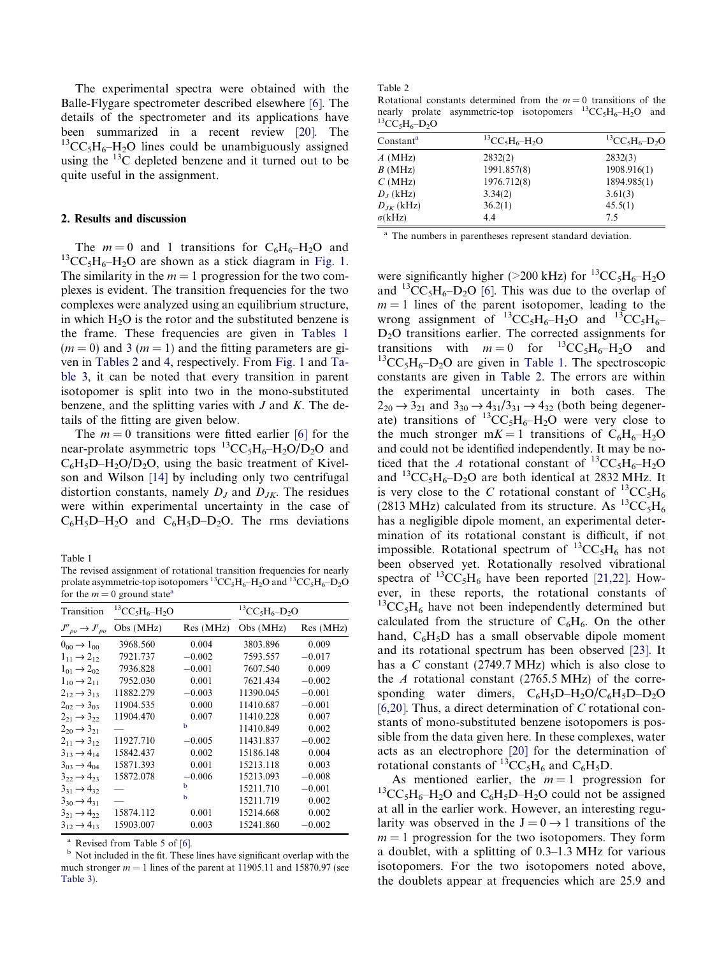The experimental spectra were obtained with the Balle-Flygare spectrometer described elsewhere [\[6\]](#page-6-0). The details of the spectrometer and its applications have been summarized in a recent review [\[20\].](#page-6-0) The  ${}^{13}CC_5H_6-H_2O$  lines could be unambiguously assigned using the  $^{13}$ C depleted benzene and it turned out to be quite useful in the assignment.

## 2. Results and discussion

The  $m = 0$  and 1 transitions for  $C_6H_6-H_2O$  and  ${}^{13}CC_5H_6-H_2O$  are shown as a stick diagram in [Fig. 1](#page-1-0). The similarity in the  $m = 1$  progression for the two complexes is evident. The transition frequencies for the two complexes were analyzed using an equilibrium structure, in which  $H_2O$  is the rotor and the substituted benzene is the frame. These frequencies are given in Tables 1  $(m = 0)$  and [3](#page-3-0)  $(m = 1)$  and the fitting parameters are given in Tables 2 and [4](#page-4-0), respectively. From [Fig. 1](#page-1-0) and [Ta](#page-3-0)[ble 3,](#page-3-0) it can be noted that every transition in parent isotopomer is split into two in the mono-substituted benzene, and the splitting varies with  $J$  and  $K$ . The details of the fitting are given below.

The  $m = 0$  transitions were fitted earlier [\[6\]](#page-6-0) for the near-prolate asymmetric tops  ${}^{13}CC_5H_6-H_2O/D_2O$  and  $C_6H_5D-H_2O/D_2O$ , using the basic treatment of Kivelson and Wilson [\[14\]](#page-6-0) by including only two centrifugal distortion constants, namely  $D_J$  and  $D_{JK}$ . The residues were within experimental uncertainty in the case of  $C_6H_5D-H_2O$  and  $C_6H_5D-D_2O$ . The rms deviations

Table 1

The revised assignment of rotational transition frequencies for nearly prolate asymmetric-top isotopomers  ${}^{13}CC_5H_6-H_2O$  and  ${}^{13}CC_5H_6-D_2O$ for the  $m = 0$  ground state<sup>a</sup>

| Transition                     | ${}^{13}CC_5H_6-H_2O$ |          | ${}^{13}CC_5H_6-D_2O$ |          |  |
|--------------------------------|-----------------------|----------|-----------------------|----------|--|
| $J''_{po} \rightarrow J'_{po}$ | Obs (MHz)             | Res(MHz) | Obs (MHz)             | Res(MHz) |  |
| $0_{00} \rightarrow 1_{00}$    | 3968.560              | 0.004    | 3803.896              | 0.009    |  |
| $1_{11} \rightarrow 2_{12}$    | 7921.737              | $-0.002$ | 7593.557              | $-0.017$ |  |
| $1_{01} \rightarrow 2_{02}$    | 7936.828              | $-0.001$ | 7607.540              | 0.009    |  |
| $1_{10} \rightarrow 2_{11}$    | 7952.030              | 0.001    | 7621.434              | $-0.002$ |  |
| $2_{12} \rightarrow 3_{13}$    | 11882.279             | $-0.003$ | 11390.045             | $-0.001$ |  |
| $2_{02} \rightarrow 3_{03}$    | 11904.535             | 0.000    | 11410.687             | $-0.001$ |  |
| $2_{21} \rightarrow 3_{22}$    | 11904.470             | 0.007    | 11410.228             | 0.007    |  |
| $2_{20} \rightarrow 3_{21}$    |                       | b        | 11410.849             | 0.002    |  |
| $2_{11} \rightarrow 3_{12}$    | 11927.710             | $-0.005$ | 11431.837             | $-0.002$ |  |
| $3_{13} \rightarrow 4_{14}$    | 15842.437             | 0.002    | 15186.148             | 0.004    |  |
| $3_{03} \rightarrow 4_{04}$    | 15871.393             | 0.001    | 15213.118             | 0.003    |  |
| $3_{22} \rightarrow 4_{23}$    | 15872.078             | $-0.006$ | 15213.093             | $-0.008$ |  |
| $3_{31} \rightarrow 4_{32}$    |                       | b        | 15211.710             | $-0.001$ |  |
| $3_{30} \rightarrow 4_{31}$    |                       | b        | 15211.719             | 0.002    |  |
| $3_{21} \rightarrow 4_{22}$    | 15874.112             | 0.001    | 15214.668             | 0.002    |  |
| $3_{12} \rightarrow 4_{13}$    | 15903.007             | 0.003    | 15241.860             | $-0.002$ |  |

<sup>a</sup> Revised from Table 5 of [\[6\].](#page-6-0) **b** Not included in the fit. These lines have significant overlap with the much stronger  $m = 1$  lines of the parent at 11905.11 and 15870.97 (see [Table 3\)](#page-3-0).

Table 2

Rotational constants determined from the  $m = 0$  transitions of the nearly prolate asymmetric-top isotopomers  ${}^{13}CC_5H_6-H_2O$  and  ${}^{13}CC_5H_6-D_2O$ 

| Constant <sup>a</sup> | ${}^{13}CC_5H_6-H_2O$ | ${}^{13}CC_5H_6-D_2O$ |  |  |
|-----------------------|-----------------------|-----------------------|--|--|
| $A$ (MHz)             | 2832(2)               | 2832(3)               |  |  |
| B(MHz)                | 1991.857(8)           | 1908.916(1)           |  |  |
| C(MHz)                | 1976.712(8)           | 1894.985(1)           |  |  |
| $D_I$ (kHz)           | 3.34(2)               | 3.61(3)               |  |  |
| $D_{JK}$ (kHz)        | 36.2(1)               | 45.5(1)               |  |  |
| $\sigma(kHz)$         | 4.4                   | 75                    |  |  |

<sup>a</sup> The numbers in parentheses represent standard deviation.

were significantly higher ( $>200$  kHz) for <sup>13</sup>CC<sub>5</sub>H<sub>6</sub>-H<sub>2</sub>O and <sup>13</sup>CC<sub>5</sub>H<sub>6</sub>–D<sub>2</sub>O [\[6\]](#page-6-0). This was due to the overlap of  $m = 1$  lines of the parent isotopomer, leading to the wrong assignment of  ${}^{13}CC_5H_6-H_2O$  and  ${}^{13}CC_5H_6$ D<sub>2</sub>O transitions earlier. The corrected assignments for transitions with  $m = 0$  for  ${}^{13}CC_5H_6-H_2O$  and  ${}^{13}CC_5H_6-D_2O$  are given in Table 1. The spectroscopic constants are given in Table 2. The errors are within the experimental uncertainty in both cases. The  $2_{20} \rightarrow 3_{21}$  and  $3_{30} \rightarrow 4_{31}/3_{31} \rightarrow 4_{32}$  (both being degenerate) transitions of  ${}^{13}CC_5H_6-H_2O$  were very close to the much stronger m $K = 1$  transitions of  $C_6H_6-H_2O$ and could not be identified independently. It may be noticed that the A rotational constant of <sup>13</sup>CC<sub>5</sub>H<sub>6</sub>–H<sub>2</sub>O and  ${}^{13}CC_5H_6-D_2O$  are both identical at 2832 MHz. It is very close to the C rotational constant of  ${}^{13}CC_5H_6$ (2813 MHz) calculated from its structure. As  ${}^{13}CC_5H_6$ has a negligible dipole moment, an experimental determination of its rotational constant is difficult, if not impossible. Rotational spectrum of  ${}^{13}CC_5H_6$  has not been observed yet. Rotationally resolved vibrational spectra of  ${}^{13}CC_5H_6$  have been reported [\[21,22\]](#page-6-0). However, in these reports, the rotational constants of  ${}^{13}CC_5H_6$  have not been independently determined but calculated from the structure of  $C_6H_6$ . On the other hand,  $C_6H_5D$  has a small observable dipole moment and its rotational spectrum has been observed [\[23\].](#page-6-0) It has a C constant (2749.7 MHz) which is also close to the A rotational constant  $(2765.5 \text{ MHz})$  of the corresponding water dimers,  $C_6H_5D-H_2O/C_6H_5D-D_2O$ [\[6,20\].](#page-6-0) Thus, a direct determination of  $C$  rotational constants of mono-substituted benzene isotopomers is possible from the data given here. In these complexes, water acts as an electrophore [\[20\]](#page-6-0) for the determination of rotational constants of  ${}^{13}CC_5H_6$  and  $C_6H_5D$ .

As mentioned earlier, the  $m = 1$  progression for  ${}^{13}CC_5H_6-H_2O$  and  $C_6H_5D-H_2O$  could not be assigned at all in the earlier work. However, an interesting regularity was observed in the  $J = 0 \rightarrow 1$  transitions of the  $m = 1$  progression for the two isotopomers. They form a doublet, with a splitting of 0.3–1.3 MHz for various isotopomers. For the two isotopomers noted above, the doublets appear at frequencies which are 25.9 and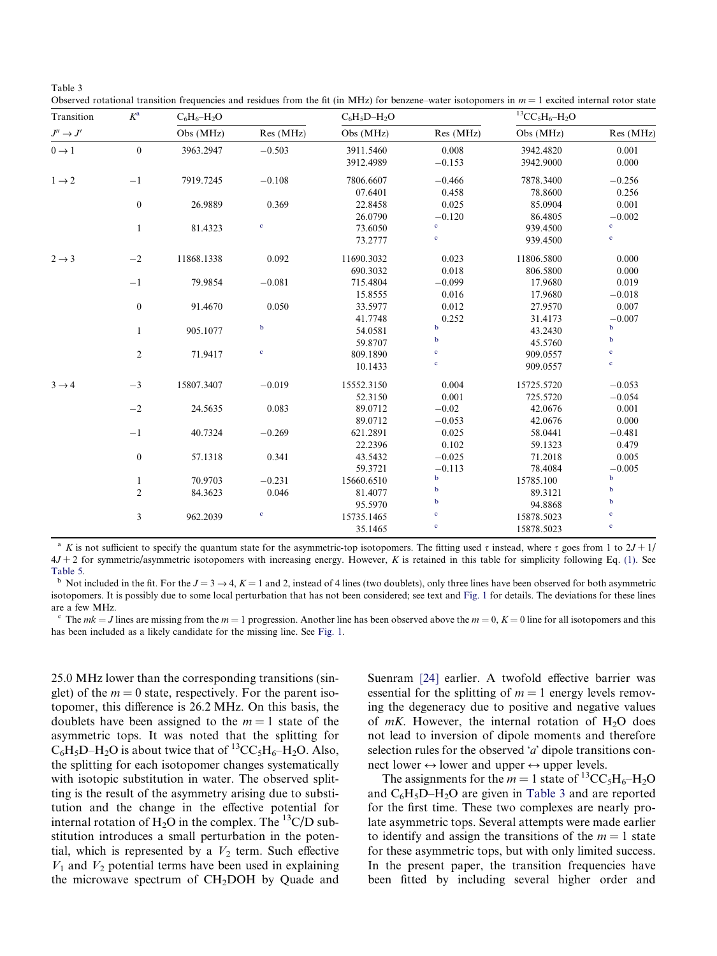<span id="page-3-0"></span>

| anie |  |
|------|--|
|------|--|

Observed rotational transition frequencies and residues from the fit (in MHz) for benzene–water isotopomers in  $m = 1$  excited internal rotor state

| Transition                             | $K^{\rm a}$      | $C_6H_6-H_2O$ |             | $C_6H_5D-H_2O$ |             | ${}^{13}CC_5H_6-H_2O$ |             |
|----------------------------------------|------------------|---------------|-------------|----------------|-------------|-----------------------|-------------|
| $J^{\prime\prime}\rightarrow J^\prime$ |                  | Obs (MHz)     | Res (MHz)   | Obs (MHz)      | Res (MHz)   | Obs (MHz)             | Res (MHz)   |
| $0 \rightarrow 1$                      | $\mathbf{0}$     | 3963.2947     | $-0.503$    | 3911.5460      | 0.008       | 3942.4820             | 0.001       |
|                                        |                  |               |             | 3912.4989      | $-0.153$    | 3942.9000             | 0.000       |
| $1 \rightarrow 2$                      | $-1$             | 7919.7245     | $-0.108$    | 7806.6607      | $-0.466$    | 7878.3400             | $-0.256$    |
|                                        |                  |               |             | 07.6401        | 0.458       | 78.8600               | 0.256       |
|                                        | $\boldsymbol{0}$ | 26.9889       | 0.369       | 22.8458        | 0.025       | 85.0904               | 0.001       |
|                                        |                  |               |             | 26.0790        | $-0.120$    | 86.4805               | $-0.002$    |
|                                        | $\mathbf{1}$     | 81.4323       | $\mathbf c$ | 73.6050        | $\mathbf c$ | 939.4500              | $\mathbf c$ |
|                                        |                  |               |             | 73.2777        | $\mathbf c$ | 939.4500              | $\mathbf c$ |
| $2 \rightarrow 3$                      | $-2$             | 11868.1338    | 0.092       | 11690.3032     | 0.023       | 11806.5800            | 0.000       |
|                                        |                  |               |             | 690.3032       | 0.018       | 806.5800              | 0.000       |
|                                        | $-1$             | 79.9854       | $-0.081$    | 715.4804       | $-0.099$    | 17.9680               | 0.019       |
|                                        |                  |               |             | 15.8555        | 0.016       | 17.9680               | $-0.018$    |
|                                        | $\boldsymbol{0}$ | 91.4670       | 0.050       | 33.5977        | 0.012       | 27.9570               | 0.007       |
|                                        |                  |               |             | 41.7748        | 0.252       | 31.4173               | $-0.007$    |
|                                        | $\mathbf{1}$     | 905.1077      | $\mathbf b$ | 54.0581        | $\mathbf b$ | 43.2430               | $\mathbf b$ |
|                                        |                  |               |             | 59.8707        | $\mathbf b$ | 45.5760               | $\mathbf b$ |
|                                        | $\overline{2}$   | 71.9417       | $\mathbf c$ | 809.1890       | $\mathbf c$ | 909.0557              | $\mathbf c$ |
|                                        |                  |               |             | 10.1433        | $\mathbf c$ | 909.0557              | $\mathbf c$ |
| $3 \rightarrow 4$                      | $-3$             | 15807.3407    | $-0.019$    | 15552.3150     | 0.004       | 15725.5720            | $-0.053$    |
|                                        |                  |               |             | 52.3150        | 0.001       | 725.5720              | $-0.054$    |
|                                        | $-2$             | 24.5635       | 0.083       | 89.0712        | $-0.02$     | 42.0676               | 0.001       |
|                                        |                  |               |             | 89.0712        | $-0.053$    | 42.0676               | 0.000       |
|                                        | $-1$             | 40.7324       | $-0.269$    | 621.2891       | 0.025       | 58.0441               | $-0.481$    |
|                                        |                  |               |             | 22.2396        | 0.102       | 59.1323               | 0.479       |
|                                        | $\boldsymbol{0}$ | 57.1318       | 0.341       | 43.5432        | $-0.025$    | 71.2018               | 0.005       |
|                                        |                  |               |             | 59.3721        | $-0.113$    | 78.4084               | $-0.005$    |
|                                        | $\mathbf{1}$     | 70.9703       | $-0.231$    | 15660.6510     | $\mathbf b$ | 15785.100             | $\bf b$     |
|                                        | $\overline{2}$   | 84.3623       | 0.046       | 81.4077        | $\mathbf b$ | 89.3121               | $\mathbf b$ |
|                                        |                  |               |             | 95.5970        | $\bf b$     | 94.8868               | $\mathbf b$ |
|                                        | 3                | 962.2039      | $\mathbf c$ | 15735.1465     | $\mathbf c$ | 15878.5023            | $\mathbf c$ |
|                                        |                  |               |             | 35.1465        | $\mathbf c$ | 15878.5023            | $\mathbf c$ |

<sup>a</sup> K is not sufficient to specify the quantum state for the asymmetric-top isotopomers. The fitting used  $\tau$  instead, where  $\tau$  goes from 1 to 2J + 1/  $4J + 2$  for symmetric/asymmetric isotopomers with increasing energy. However, K is retained in this table for simplicity following Eq. [\(1\).](#page-0-0) See [Table 5](#page-6-0). **b** Not included in the fit. For the  $J = 3 \rightarrow 4$ ,  $K = 1$  and 2, instead of 4 lines (two doublets), only three lines have been observed for both asymmetric

isotopomers. It is possibly due to some local perturbation that has not been considered; see text and [Fig. 1](#page-1-0) for details. The deviations for these lines are a few MHz.

The  $mk = J$  lines are missing from the  $m = 1$  progression. Another line has been observed above the  $m = 0$ ,  $K = 0$  line for all isotopomers and this has been included as a likely candidate for the missing line. See [Fig. 1](#page-1-0).

25.0 MHz lower than the corresponding transitions (singlet) of the  $m = 0$  state, respectively. For the parent isotopomer, this difference is 26.2 MHz. On this basis, the doublets have been assigned to the  $m = 1$  state of the asymmetric tops. It was noted that the splitting for  $C_6H_5D-H_2O$  is about twice that of <sup>13</sup>CC<sub>5</sub>H<sub>6</sub>–H<sub>2</sub>O. Also, the splitting for each isotopomer changes systematically with isotopic substitution in water. The observed splitting is the result of the asymmetry arising due to substitution and the change in the effective potential for internal rotation of  $H_2O$  in the complex. The <sup>13</sup>C/D substitution introduces a small perturbation in the potential, which is represented by a  $V_2$  term. Such effective  $V_1$  and  $V_2$  potential terms have been used in explaining the microwave spectrum of  $CH<sub>2</sub>DOH$  by Quade and

Suenram [\[24\]](#page-6-0) earlier. A twofold effective barrier was essential for the splitting of  $m = 1$  energy levels removing the degeneracy due to positive and negative values of  $mK$ . However, the internal rotation of H<sub>2</sub>O does not lead to inversion of dipole moments and therefore selection rules for the observed  $'a'$  dipole transitions connect lower  $\leftrightarrow$  lower and upper  $\leftrightarrow$  upper levels.

The assignments for the  $m = 1$  state of <sup>13</sup>CC<sub>5</sub>H<sub>6</sub>–H<sub>2</sub>O and  $C_6H_5D-H_2O$  are given in Table 3 and are reported for the first time. These two complexes are nearly prolate asymmetric tops. Several attempts were made earlier to identify and assign the transitions of the  $m = 1$  state for these asymmetric tops, but with only limited success. In the present paper, the transition frequencies have been fitted by including several higher order and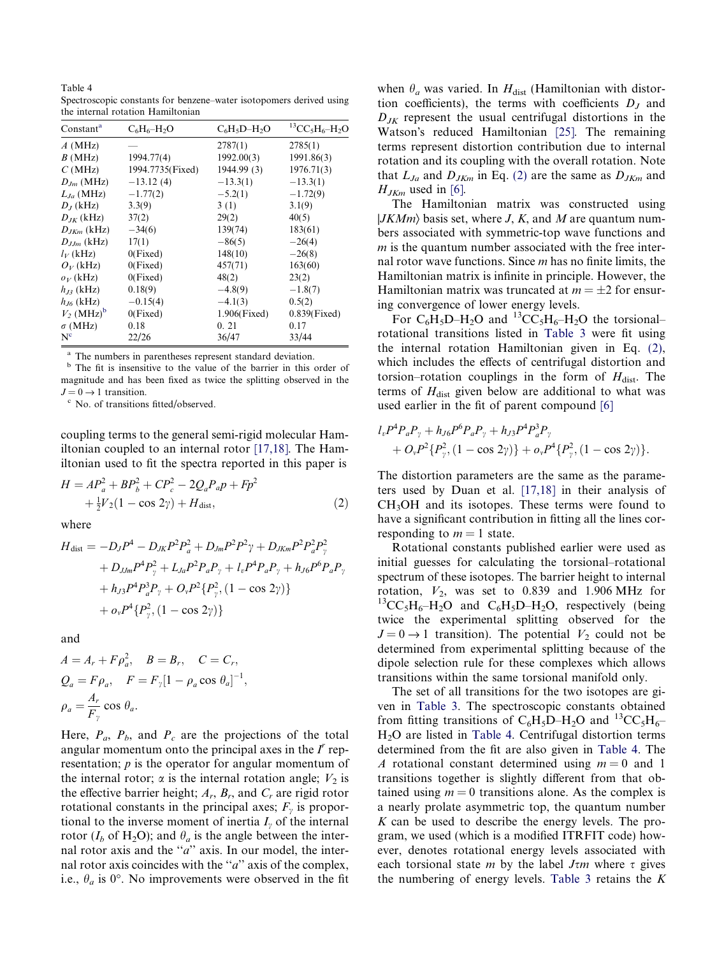<span id="page-4-0"></span>Table 4 Spectroscopic constants for benzene–water isotopomers derived using the internal rotation Hamiltonian

| Constant <sup>a</sup>    | $C_6H_6-H_2O$    | $C_6H_5D-H_2O$  | ${}^{13}CC_5H_6-H_2O$ |
|--------------------------|------------------|-----------------|-----------------------|
| $A$ (MHz)                |                  | 2787(1)         | 2785(1)               |
| B(MHz)                   | 1994.77(4)       | 1992.00(3)      | 1991.86(3)            |
| C(MHz)                   | 1994.7735(Fixed) | 1944.99 (3)     | 1976.71(3)            |
| $D_{Im}$ (MHz)           | $-13.12(4)$      | $-13.3(1)$      | $-13.3(1)$            |
| $L_{Ja}$ (MHz)           | $-1.77(2)$       | $-5.2(1)$       | $-1.72(9)$            |
| $D_J$ (kHz)              | 3.3(9)           | 3(1)            | 3.1(9)                |
| $D_{IK}$ (kHz)           | 37(2)            | 29(2)           | 40(5)                 |
| $D_{JKm}$ (kHz)          | $-34(6)$         | 139(74)         | 183(61)               |
| $D_{J,m}$ (kHz)          | 17(1)            | $-86(5)$        | $-26(4)$              |
| $l_V$ (kHz)              | 0(Fixed)         | 148(10)         | $-26(8)$              |
| $O_V$ (kHz)              | 0(Fixed)         | 457(71)         | 163(60)               |
| $o_V$ (kHz)              | 0(Fixed)         | 48(2)           | 23(2)                 |
| $h_{B}$ (kHz)            | 0.18(9)          | $-4.8(9)$       | $-1.8(7)$             |
| $h_{J6}$ (kHz)           | $-0.15(4)$       | $-4.1(3)$       | 0.5(2)                |
| $V_2$ (MHz) <sup>b</sup> | 0(Fixed)         | $1.906$ (Fixed) | $0.839$ (Fixed)       |
| $\sigma$ (MHz)           | 0.18             | 0.21            | 0.17                  |
| $N_c$                    | 22/26            | 36/47           | 33/44                 |

The numbers in parentheses represent standard deviation.

<sup>b</sup> The fit is insensitive to the value of the barrier in this order of magnitude and has been fixed as twice the splitting observed in the  $J = 0 \rightarrow 1$  transition.<br><sup>c</sup> No. of transitions fitted/observed.

coupling terms to the general semi-rigid molecular Hamiltonian coupled to an internal rotor [\[17,18\]](#page-6-0). The Hamiltonian used to fit the spectra reported in this paper is

$$
H = AP_a^2 + BP_b^2 + CP_c^2 - 2Q_aP_aP + Fp^2
$$
  
 
$$
+ \frac{1}{2}V_2(1 - \cos 2\gamma) + H_{\text{dist}},
$$
 (2)

where

$$
H_{\text{dist}} = -D_J P^4 - D_{JK} P^2 P_a^2 + D_{Jm} P^2 P^2 \gamma + D_{JKm} P^2 P_a^2 P_\gamma^2
$$
  
+ 
$$
D_{JJm} P^4 P_\gamma^2 + L_{Ja} P^2 P_a P_\gamma + l_v P^4 P_a P_\gamma + h_{J6} P^6 P_a P_\gamma
$$
  
+ 
$$
h_{J3} P^4 P_a^3 P_\gamma + O_v P^2 \{P_\gamma^2, (1 - \cos 2\gamma)\}
$$
  
+ 
$$
o_v P^4 \{P_\gamma^2, (1 - \cos 2\gamma)\}
$$

and

$$
A = A_r + F\rho_a^2, \quad B = B_r, \quad C = C_r,
$$
  
\n
$$
Q_a = F\rho_a, \quad F = F_{\gamma}[1 - \rho_a \cos \theta_a]^{-1},
$$
  
\n
$$
\rho_a = \frac{A_r}{F_{\gamma}} \cos \theta_a.
$$

Here,  $P_a$ ,  $P_b$ , and  $P_c$  are the projections of the total angular momentum onto the principal axes in the  $I^r$  representation; p is the operator for angular momentum of the internal rotor;  $\alpha$  is the internal rotation angle;  $V_2$  is the effective barrier height;  $A_r$ ,  $B_r$ , and  $C_r$  are rigid rotor rotational constants in the principal axes;  $F_{\gamma}$  is proportional to the inverse moment of inertia  $I_{\nu}$  of the internal rotor ( $I_b$  of H<sub>2</sub>O); and  $\theta_a$  is the angle between the internal rotor axis and the " $a$ " axis. In our model, the internal rotor axis coincides with the " $a$ " axis of the complex, i.e.,  $\theta_a$  is 0°. No improvements were observed in the fit

when  $\theta_a$  was varied. In  $H_{dist}$  (Hamiltonian with distortion coefficients), the terms with coefficients  $D<sub>J</sub>$  and  $D_{JK}$  represent the usual centrifugal distortions in the Watson's reduced Hamiltonian [\[25\].](#page-6-0) The remaining terms represent distortion contribution due to internal rotation and its coupling with the overall rotation. Note that  $L_{Ja}$  and  $D_{JKm}$  in Eq. (2) are the same as  $D_{JKm}$  and  $H_{JKm}$  used in [\[6\].](#page-6-0)

The Hamiltonian matrix was constructed using  $|JKMm\rangle$  basis set, where J, K, and M are quantum numbers associated with symmetric-top wave functions and  $m$  is the quantum number associated with the free internal rotor wave functions. Since  $m$  has no finite limits, the Hamiltonian matrix is infinite in principle. However, the Hamiltonian matrix was truncated at  $m = \pm 2$  for ensuring convergence of lower energy levels.

For  $C_6H_5D-H_2O$  and  ${}^{13}CC_5H_6-H_2O$  the torsional– rotational transitions listed in [Table 3](#page-3-0) were fit using the internal rotation Hamiltonian given in Eq. (2), which includes the effects of centrifugal distortion and torsion–rotation couplings in the form of  $H_{dist}$ . The terms of  $H<sub>dist</sub>$  given below are additional to what was used earlier in the fit of parent compound [\[6\]](#page-6-0)

$$
l_{v}P^{4}P_{a}P_{\gamma} + h_{J6}P^{6}P_{a}P_{\gamma} + h_{J3}P^{4}P_{a}^{3}P_{\gamma} + O_{\gamma}P^{2}\{P_{\gamma}^{2}, (1 - \cos 2\gamma)\} + o_{\gamma}P^{4}\{P_{\gamma}^{2}, (1 - \cos 2\gamma)\}.
$$

The distortion parameters are the same as the parameters used by Duan et al. [\[17,18\]](#page-6-0) in their analysis of CH3OH and its isotopes. These terms were found to have a significant contribution in fitting all the lines corresponding to  $m = 1$  state.

Rotational constants published earlier were used as initial guesses for calculating the torsional–rotational spectrum of these isotopes. The barrier height to internal rotation,  $V_2$ , was set to 0.839 and 1.906 MHz for  ${}^{13}CC_5H_6-H_2O$  and  $C_6H_5D-H_2O$ , respectively (being twice the experimental splitting observed for the  $J = 0 \rightarrow 1$  transition). The potential  $V_2$  could not be determined from experimental splitting because of the dipole selection rule for these complexes which allows transitions within the same torsional manifold only.

The set of all transitions for the two isotopes are given in [Table 3](#page-3-0). The spectroscopic constants obtained from fitting transitions of  $C_6H_5D-H_2O$  and  ${}^{13}CC_5H_6-$ H2O are listed in Table 4. Centrifugal distortion terms determined from the fit are also given in Table 4. The A rotational constant determined using  $m = 0$  and 1 transitions together is slightly different from that obtained using  $m = 0$  transitions alone. As the complex is a nearly prolate asymmetric top, the quantum number  $K$  can be used to describe the energy levels. The program, we used (which is a modified ITRFIT code) however, denotes rotational energy levels associated with each torsional state *m* by the label  $J<sub>\tau</sub>m$  where  $\tau$  gives the numbering of energy levels. [Table 3](#page-3-0) retains the  $K$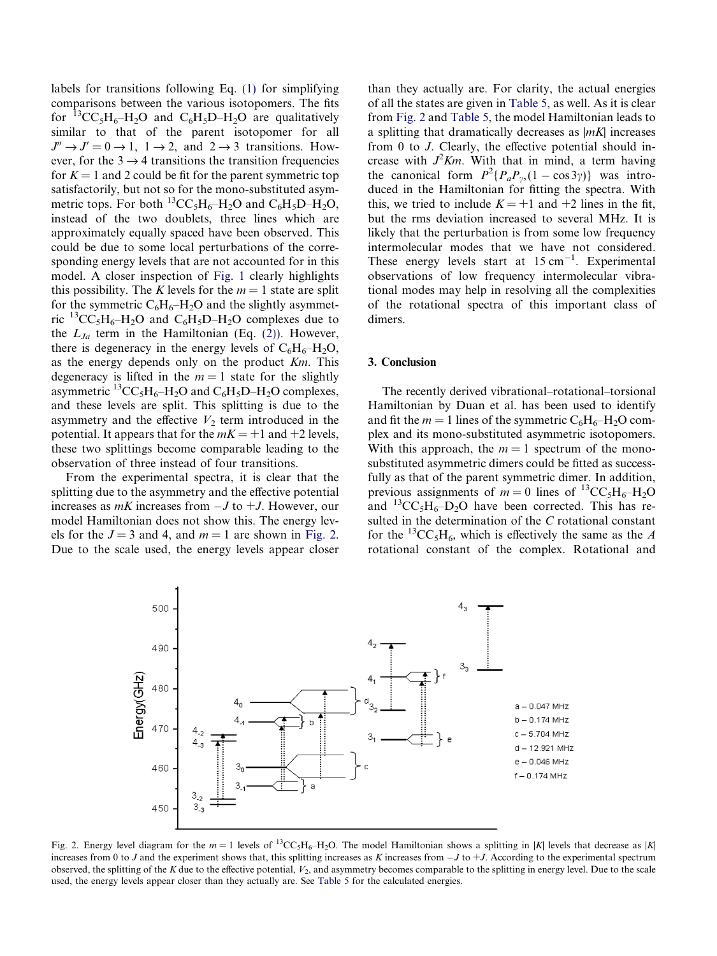<span id="page-5-0"></span>labels for transitions following Eq. [\(1\)](#page-0-0) for simplifying comparisons between the various isotopomers. The fits for  ${}^{13}CC_5H_6-H_2O$  and  $C_6H_5D-H_2O$  are qualitatively similar to that of the parent isotopomer for all  $J'' \rightarrow J' = 0 \rightarrow 1$ ,  $1 \rightarrow 2$ , and  $2 \rightarrow 3$  transitions. However, for the  $3 \rightarrow 4$  transitions the transition frequencies for  $K = 1$  and 2 could be fit for the parent symmetric top satisfactorily, but not so for the mono-substituted asymmetric tops. For both  ${}^{13}CC_5H_6-H_2O$  and  $C_6H_5D-H_2O$ , instead of the two doublets, three lines which are approximately equally spaced have been observed. This could be due to some local perturbations of the corresponding energy levels that are not accounted for in this model. A closer inspection of [Fig. 1](#page-1-0) clearly highlights this possibility. The K levels for the  $m = 1$  state are split for the symmetric  $C_6H_6-H_2O$  and the slightly asymmetric  ${}^{13}CC_5H_6-H_2O$  and  $C_6H_5D-H_2O$  complexes due to the  $L_{Ja}$  term in the Hamiltonian (Eq. [\(2\)](#page-4-0)). However, there is degeneracy in the energy levels of  $C_6H_6-H_2O$ , as the energy depends only on the product Km. This degeneracy is lifted in the  $m = 1$  state for the slightly asymmetric  ${}^{13}CC_5H_6-H_2O$  and  $C_6H_5D-H_2O$  complexes, and these levels are split. This splitting is due to the asymmetry and the effective  $V_2$  term introduced in the potential. It appears that for the  $mK = +1$  and  $+2$  levels, these two splittings become comparable leading to the observation of three instead of four transitions.

From the experimental spectra, it is clear that the splitting due to the asymmetry and the effective potential increases as  $mK$  increases from  $-J$  to  $+J$ . However, our model Hamiltonian does not show this. The energy levels for the  $J = 3$  and 4, and  $m = 1$  are shown in Fig. 2. Due to the scale used, the energy levels appear closer than they actually are. For clarity, the actual energies of all the states are given in [Table 5](#page-6-0), as well. As it is clear from Fig. 2 and [Table 5,](#page-6-0) the model Hamiltonian leads to a splitting that dramatically decreases as  $|mK|$  increases from 0 to J. Clearly, the effective potential should increase with  $J^2Km$ . With that in mind, a term having the canonical form  $P^2\{P_aP_v, (1-\cos 3\gamma)\}\$  was introduced in the Hamiltonian for fitting the spectra. With this, we tried to include  $K = +1$  and  $+2$  lines in the fit, but the rms deviation increased to several MHz. It is likely that the perturbation is from some low frequency intermolecular modes that we have not considered. These energy levels start at  $15 \text{ cm}^{-1}$ . Experimental observations of low frequency intermolecular vibrational modes may help in resolving all the complexities of the rotational spectra of this important class of dimers.

#### 3. Conclusion

The recently derived vibrational–rotational–torsional Hamiltonian by Duan et al. has been used to identify and fit the  $m = 1$  lines of the symmetric  $C_6H_6-H_2O$  complex and its mono-substituted asymmetric isotopomers. With this approach, the  $m = 1$  spectrum of the monosubstituted asymmetric dimers could be fitted as successfully as that of the parent symmetric dimer. In addition, previous assignments of  $m = 0$  lines of <sup>13</sup>CC<sub>5</sub>H<sub>6</sub>–H<sub>2</sub>O and  ${}^{13}CC_5H_6-D_2O$  have been corrected. This has resulted in the determination of the C rotational constant for the <sup>13</sup>CC<sub>5</sub>H<sub>6</sub>, which is effectively the same as the A rotational constant of the complex. Rotational and



Fig. 2. Energy level diagram for the  $m = 1$  levels of <sup>13</sup>CC<sub>5</sub>H<sub>6</sub>–H<sub>2</sub>O. The model Hamiltonian shows a splitting in |K| levels that decrease as |K| increases from 0 to J and the experiment shows that, this splitting increases as K increases from  $-J$  to  $+J$ . According to the experimental spectrum observed, the splitting of the K due to the effective potential,  $V_2$ , and asymmetry becomes comparable to the splitting in energy level. Due to the scale used, the energy levels appear closer than they actually are. See [Table 5](#page-6-0) for the calculated energies.